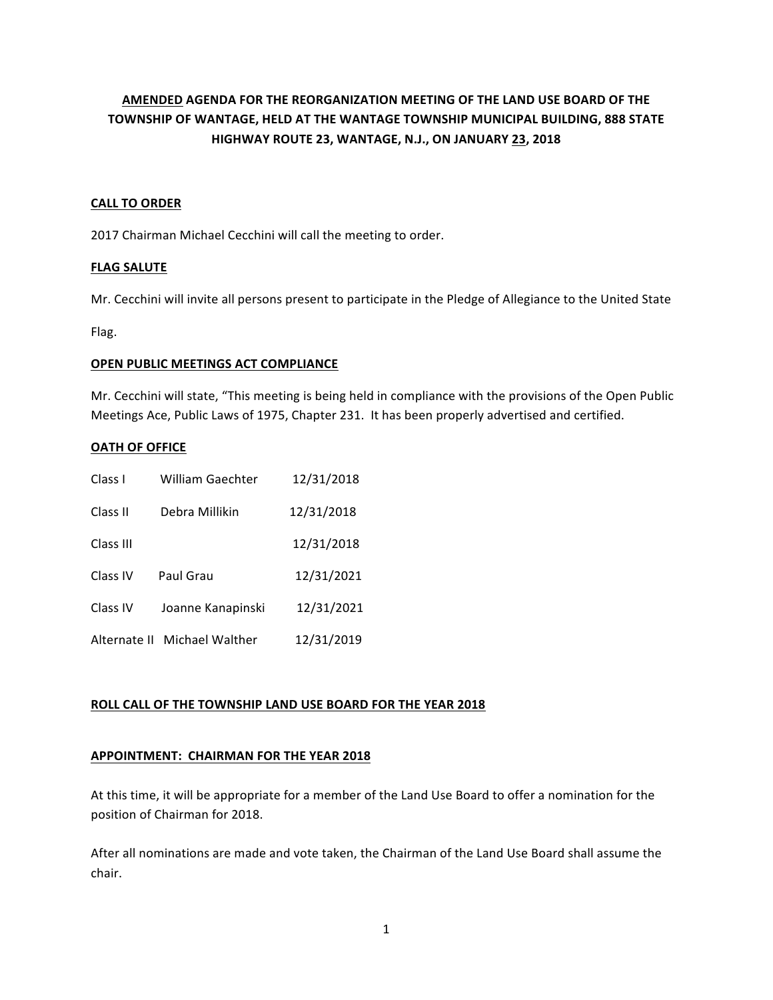# **AMENDED AGENDA FOR THE REORGANIZATION MEETING OF THE LAND USE BOARD OF THE TOWNSHIP OF WANTAGE, HELD AT THE WANTAGE TOWNSHIP MUNICIPAL BUILDING, 888 STATE HIGHWAY ROUTE 23, WANTAGE, N.J., ON JANUARY 23, 2018**

## **CALL TO ORDER**

2017 Chairman Michael Cecchini will call the meeting to order.

## **FLAG SALUTE**

Mr. Cecchini will invite all persons present to participate in the Pledge of Allegiance to the United State

Flag. 

## **OPEN PUBLIC MEETINGS ACT COMPLIANCE**

Mr. Cecchini will state, "This meeting is being held in compliance with the provisions of the Open Public Meetings Ace, Public Laws of 1975, Chapter 231. It has been properly advertised and certified.

## **OATH OF OFFICE**

| Class I      | <b>William Gaechter</b> | 12/31/2018 |
|--------------|-------------------------|------------|
| Class II     | Debra Millikin          | 12/31/2018 |
| Class III    |                         | 12/31/2018 |
| Class IV     | Paul Grau               | 12/31/2021 |
| Class IV     | Joanne Kanapinski       | 12/31/2021 |
| Alternate II | Michael Walther         | 12/31/2019 |

## **ROLL CALL OF THE TOWNSHIP LAND USE BOARD FOR THE YEAR 2018**

## **APPOINTMENT: CHAIRMAN FOR THE YEAR 2018**

At this time, it will be appropriate for a member of the Land Use Board to offer a nomination for the position of Chairman for 2018.

After all nominations are made and vote taken, the Chairman of the Land Use Board shall assume the chair.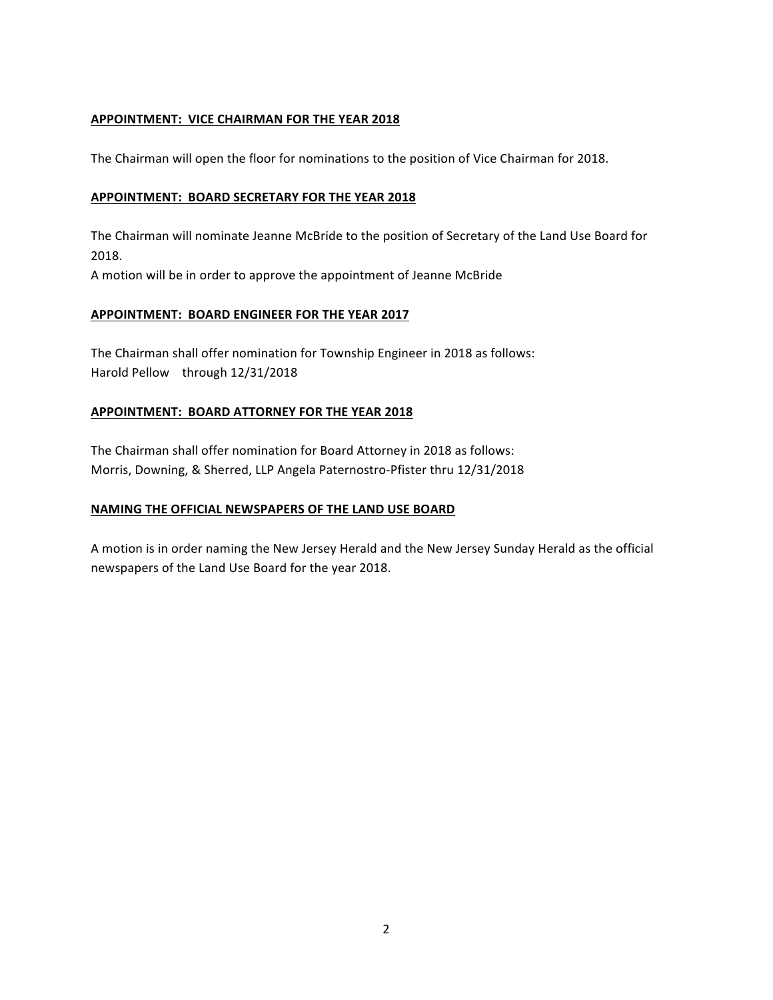## **APPOINTMENT: VICE CHAIRMAN FOR THE YEAR 2018**

The Chairman will open the floor for nominations to the position of Vice Chairman for 2018.

### **APPOINTMENT: BOARD SECRETARY FOR THE YEAR 2018**

The Chairman will nominate Jeanne McBride to the position of Secretary of the Land Use Board for 2018.

A motion will be in order to approve the appointment of Jeanne McBride

### **APPOINTMENT: BOARD ENGINEER FOR THE YEAR 2017**

The Chairman shall offer nomination for Township Engineer in 2018 as follows: Harold Pellow through 12/31/2018

### **APPOINTMENT: BOARD ATTORNEY FOR THE YEAR 2018**

The Chairman shall offer nomination for Board Attorney in 2018 as follows: Morris, Downing, & Sherred, LLP Angela Paternostro-Pfister thru 12/31/2018

## **NAMING THE OFFICIAL NEWSPAPERS OF THE LAND USE BOARD**

A motion is in order naming the New Jersey Herald and the New Jersey Sunday Herald as the official newspapers of the Land Use Board for the year 2018.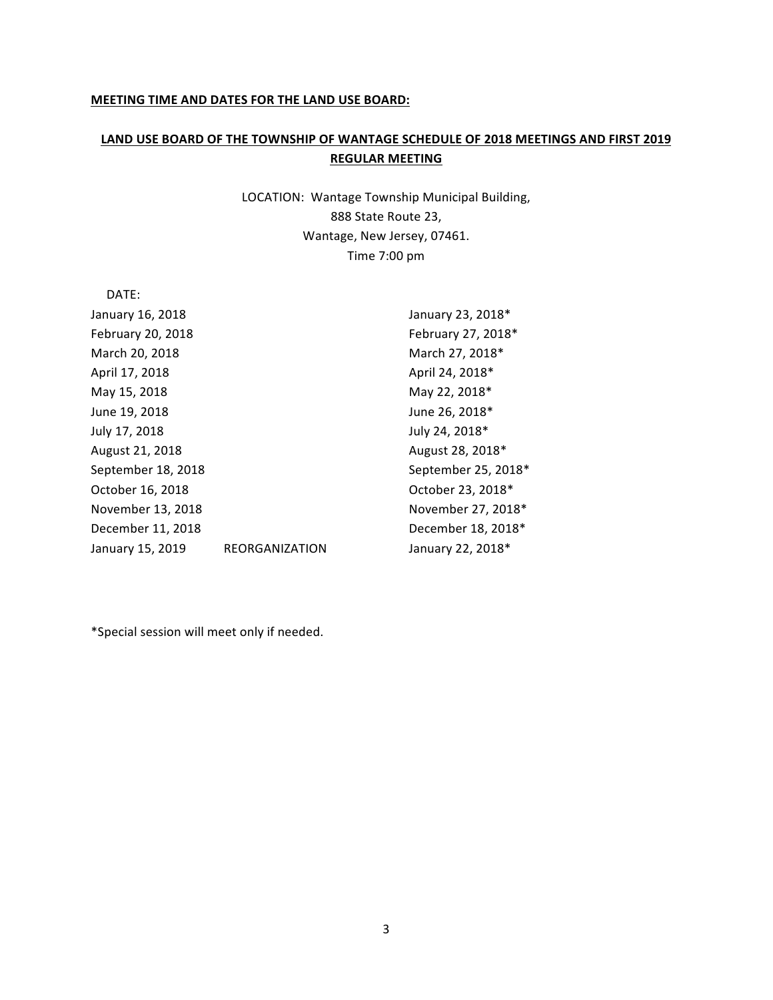#### **MEETING TIME AND DATES FOR THE LAND USE BOARD:**

## LAND USE BOARD OF THE TOWNSHIP OF WANTAGE SCHEDULE OF 2018 MEETINGS AND FIRST 2019 **REGULAR MEETING**

LOCATION: Wantage Township Municipal Building, 888 State Route 23, Wantage, New Jersey, 07461. Time 7:00 pm

 DATE: January 16, 2018 **January 16, 2018** February 20, 2018 **February** 27, 2018\* March 20, 2018 March 27, 2018\* April 17, 2018 **April 24, 2018** April 24, 2018<sup>\*</sup> May 15, 2018 May 22, 2018\* June 19, 2018 **June 26, 2018 June 26, 2018** July 17, 2018 **July 24, 2018 July 24, 2018** August 21, 2018 **August 28, 2018** August 28, 2018 **August** 28, 2018 **August** 28, 2018 **August** 28, 2018 **August** 28, 2018 **August** 28, 2018 **August** 28, 2018 **August** 28, 2018 **August** 28, 2018 **August** 28, 2018 **August** 2 September 18, 2018 September 25, 2018\* October 16, 2018 **October 23, 2018** \* November 13, 2018 Movember 27, 2018\* December 11, 2018 **December** 18, 2018<sup>\*</sup> January 15, 2019 REORGANIZATION January 22, 2018\*

\*Special session will meet only if needed.